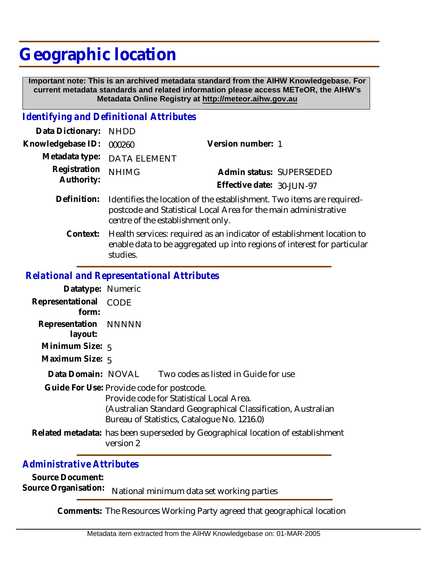# **Geographic location**

 **Important note: This is an archived metadata standard from the AIHW Knowledgebase. For current metadata standards and related information please access METeOR, the AIHW's Metadata Online Registry at http://meteor.aihw.gov.au**

### *Identifying and Definitional Attributes*

| Data Dictionary: NHDD      |                                                                                                                                                      |                           |                          |
|----------------------------|------------------------------------------------------------------------------------------------------------------------------------------------------|---------------------------|--------------------------|
| Knowledgebase ID: 000260   |                                                                                                                                                      | Version number: 1         |                          |
|                            | Metadata type: DATA ELEMENT                                                                                                                          |                           |                          |
| Registration<br>Authority: | <b>NHIMG</b>                                                                                                                                         |                           | Admin status: SUPERSEDED |
|                            |                                                                                                                                                      | Effective date: 30-JUN-97 |                          |
|                            | Definition: Identifies the location of the establishment. Two items are required-<br>postcode and Statistical Local Area for the main administrative |                           |                          |

centre of the establishment only.

Health services: required as an indicator of establishment location to enable data to be aggregated up into regions of interest for particular studies. **Context:**

## *Relational and Representational Attributes*

| Datatype: Numeric               |                                                                                                                                                                                                      |
|---------------------------------|------------------------------------------------------------------------------------------------------------------------------------------------------------------------------------------------------|
| Representational CODE<br>form:  |                                                                                                                                                                                                      |
| Representation NNNNN<br>layout: |                                                                                                                                                                                                      |
| Minimum Size: $5$               |                                                                                                                                                                                                      |
| Maximum Size: 5                 |                                                                                                                                                                                                      |
| Data Domain: NOVAL              | Two codes as listed in Guide for use                                                                                                                                                                 |
|                                 | Guide For Use: Provide code for postcode.<br>Provide code for Statistical Local Area.<br>(Australian Standard Geographical Classification, Australian<br>Bureau of Statistics, Catalogue No. 1216.0) |
|                                 | Related metadata: has been superseded by Geographical location of establishment<br>version 2                                                                                                         |

## *Administrative Attributes*

**Source Document:**

Source Organisation: National minimum data set working parties

**Comments:** The Resources Working Party agreed that geographical location